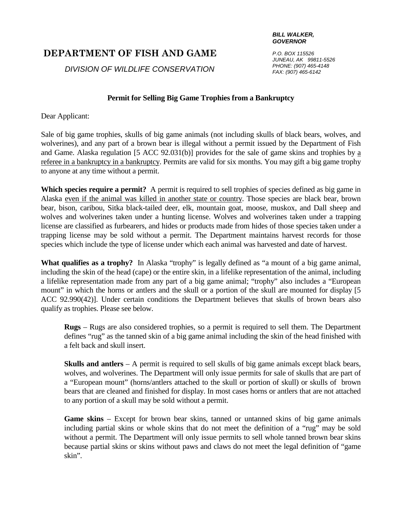## **DEPARTMENT OF FISH AND GAME**

*DIVISION OF WILDLIFE CONSERVATION*

## **Permit for Selling Big Game Trophies from a Bankruptcy**

Dear Applicant:

Sale of big game trophies, skulls of big game animals (not including skulls of black bears, wolves, and wolverines), and any part of a brown bear is illegal without a permit issued by the Department of Fish and Game. Alaska regulation [5 ACC 92.031(b)] provides for the sale of game skins and trophies by a referee in a bankruptcy in a bankruptcy. Permits are valid for six months. You may gift a big game trophy to anyone at any time without a permit.

**Which species require a permit?** A permit is required to sell trophies of species defined as big game in Alaska even if the animal was killed in another state or country. Those species are black bear, brown bear, bison, caribou, Sitka black-tailed deer, elk, mountain goat, moose, muskox, and Dall sheep and wolves and wolverines taken under a hunting license. Wolves and wolverines taken under a trapping license are classified as furbearers, and hides or products made from hides of those species taken under a trapping license may be sold without a permit. The Department maintains harvest records for those species which include the type of license under which each animal was harvested and date of harvest.

What qualifies as a trophy? In Alaska "trophy" is legally defined as "a mount of a big game animal, including the skin of the head (cape) or the entire skin, in a lifelike representation of the animal, including a lifelike representation made from any part of a big game animal; "trophy" also includes a "European mount" in which the horns or antlers and the skull or a portion of the skull are mounted for display [5 ACC 92.990(42)]. Under certain conditions the Department believes that skulls of brown bears also qualify as trophies. Please see below.

**Rugs** – Rugs are also considered trophies, so a permit is required to sell them. The Department defines "rug" as the tanned skin of a big game animal including the skin of the head finished with a felt back and skull insert.

**Skulls and antlers** – A permit is required to sell skulls of big game animals except black bears, wolves, and wolverines. The Department will only issue permits for sale of skulls that are part of a "European mount" (horns/antlers attached to the skull or portion of skull) or skulls of brown bears that are cleaned and finished for display. In most cases horns or antlers that are not attached to any portion of a skull may be sold without a permit.

**Game skins** – Except for brown bear skins, tanned or untanned skins of big game animals including partial skins or whole skins that do not meet the definition of a "rug" may be sold without a permit. The Department will only issue permits to sell whole tanned brown bear skins because partial skins or skins without paws and claws do not meet the legal definition of "game skin".

*P.O. BOX 115526 JUNEAU, AK 99811-5526 PHONE: (907) 465-4148 FAX: (907) 465-6142*